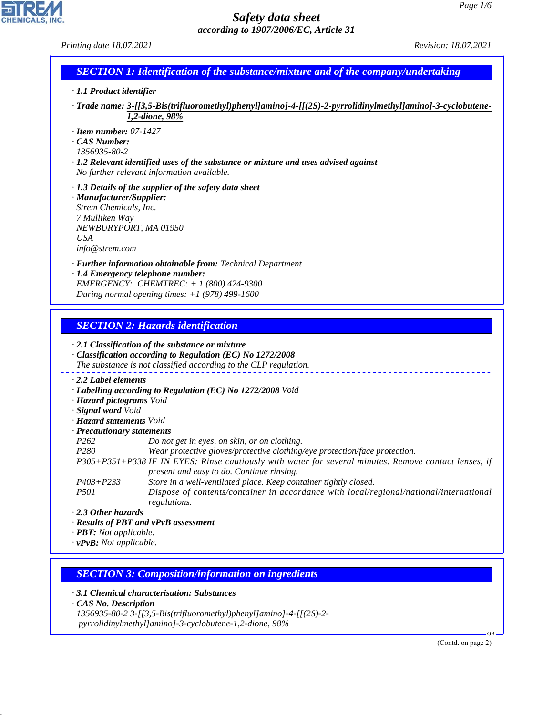*Printing date 18.07.2021 Revision: 18.07.2021*

**CHEMICALS, INC** 

| <b>SECTION 1: Identification of the substance/mixture and of the company/undertaking</b> |  |
|------------------------------------------------------------------------------------------|--|
| $\cdot$ 1.1 Product identifier                                                           |  |

- *· Trade name: 3-[[3,5-Bis(trifluoromethyl)phenyl]amino]-4-[[(2S)-2-pyrrolidinylmethyl]amino]-3-cyclobutene-1,2-dione, 98%*
- *· Item number: 07-1427*
- *· CAS Number:*
- *1356935-80-2*
- *· 1.2 Relevant identified uses of the substance or mixture and uses advised against No further relevant information available.*
- *· 1.3 Details of the supplier of the safety data sheet*
- *· Manufacturer/Supplier: Strem Chemicals, Inc. 7 Mulliken Way NEWBURYPORT, MA 01950 USA info@strem.com*
- *· Further information obtainable from: Technical Department*
- *· 1.4 Emergency telephone number: EMERGENCY: CHEMTREC: + 1 (800) 424-9300 During normal opening times: +1 (978) 499-1600*

# *SECTION 2: Hazards identification*

|                                     | $\cdot$ 2.1 Classification of the substance or mixture<br>Classification according to Regulation (EC) No 1272/2008<br>The substance is not classified according to the CLP regulation. |
|-------------------------------------|----------------------------------------------------------------------------------------------------------------------------------------------------------------------------------------|
| $\cdot$ 2.2 Label elements          |                                                                                                                                                                                        |
|                                     | · Labelling according to Regulation (EC) No 1272/2008 Void                                                                                                                             |
| · Hazard pictograms Void            |                                                                                                                                                                                        |
| · Signal word Void                  |                                                                                                                                                                                        |
| · <b>Hazard statements</b> Void     |                                                                                                                                                                                        |
| · Precautionary statements          |                                                                                                                                                                                        |
| P <sub>262</sub>                    | Do not get in eyes, on skin, or on clothing.                                                                                                                                           |
| P280                                | Wear protective gloves/protective clothing/eye protection/face protection.                                                                                                             |
|                                     | P305+P351+P338 IF IN EYES: Rinse cautiously with water for several minutes. Remove contact lenses, if<br>present and easy to do. Continue rinsing.                                     |
| $P403 + P233$                       | Store in a well-ventilated place. Keep container tightly closed.                                                                                                                       |
| <i>P501</i>                         | Dispose of contents/container in accordance with local/regional/national/international<br>regulations.                                                                                 |
| ⋅ 2.3 Other hazards                 |                                                                                                                                                                                        |
|                                     | · Results of PBT and vPvB assessment                                                                                                                                                   |
| $\cdot$ <b>PBT:</b> Not applicable. |                                                                                                                                                                                        |
| $\cdot$ vPvB: Not applicable.       |                                                                                                                                                                                        |

# *SECTION 3: Composition/information on ingredients*

*· 3.1 Chemical characterisation: Substances*

*· CAS No. Description*

44.1.1

*1356935-80-2 3-[[3,5-Bis(trifluoromethyl)phenyl]amino]-4-[[(2S)-2 pyrrolidinylmethyl]amino]-3-cyclobutene-1,2-dione, 98%*

(Contd. on page 2)

GB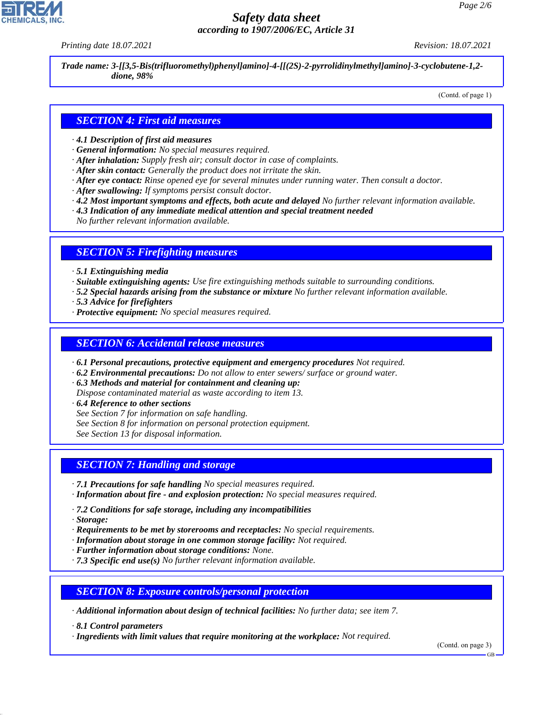*Printing date 18.07.2021 Revision: 18.07.2021*

*Trade name: 3-[[3,5-Bis(trifluoromethyl)phenyl]amino]-4-[[(2S)-2-pyrrolidinylmethyl]amino]-3-cyclobutene-1,2 dione, 98%*

(Contd. of page 1)

# *SECTION 4: First aid measures*

- *· 4.1 Description of first aid measures*
- *· General information: No special measures required.*
- *· After inhalation: Supply fresh air; consult doctor in case of complaints.*
- *· After skin contact: Generally the product does not irritate the skin.*
- *· After eye contact: Rinse opened eye for several minutes under running water. Then consult a doctor.*
- *· After swallowing: If symptoms persist consult doctor.*
- *· 4.2 Most important symptoms and effects, both acute and delayed No further relevant information available.*
- *· 4.3 Indication of any immediate medical attention and special treatment needed*
- *No further relevant information available.*

#### *SECTION 5: Firefighting measures*

- *· 5.1 Extinguishing media*
- *· Suitable extinguishing agents: Use fire extinguishing methods suitable to surrounding conditions.*
- *· 5.2 Special hazards arising from the substance or mixture No further relevant information available.*
- *· 5.3 Advice for firefighters*
- *· Protective equipment: No special measures required.*

#### *SECTION 6: Accidental release measures*

- *· 6.1 Personal precautions, protective equipment and emergency procedures Not required.*
- *· 6.2 Environmental precautions: Do not allow to enter sewers/ surface or ground water.*
- *· 6.3 Methods and material for containment and cleaning up:*

*Dispose contaminated material as waste according to item 13.*

- *· 6.4 Reference to other sections*
- *See Section 7 for information on safe handling.*
- *See Section 8 for information on personal protection equipment.*

*See Section 13 for disposal information.*

# *SECTION 7: Handling and storage*

- *· 7.1 Precautions for safe handling No special measures required.*
- *· Information about fire and explosion protection: No special measures required.*
- *· 7.2 Conditions for safe storage, including any incompatibilities*
- *· Storage:*

44.1.1

- *· Requirements to be met by storerooms and receptacles: No special requirements.*
- *· Information about storage in one common storage facility: Not required.*
- *· Further information about storage conditions: None.*
- *· 7.3 Specific end use(s) No further relevant information available.*

#### *SECTION 8: Exposure controls/personal protection*

*· Additional information about design of technical facilities: No further data; see item 7.*

*· 8.1 Control parameters*

*· Ingredients with limit values that require monitoring at the workplace: Not required.*

(Contd. on page 3)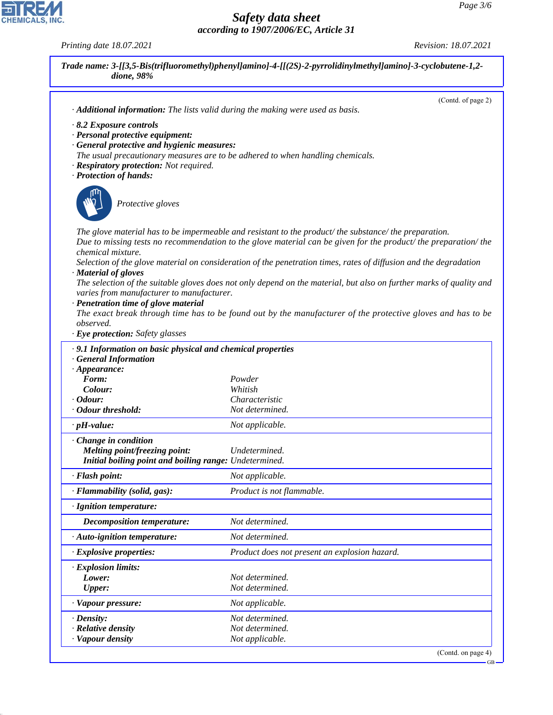GB

# *Safety data sheet according to 1907/2006/EC, Article 31*

*Printing date 18.07.2021 Revision: 18.07.2021*

| dione, 98%                                                               |                                                                                                                     |
|--------------------------------------------------------------------------|---------------------------------------------------------------------------------------------------------------------|
|                                                                          | (Contd. of page 2)<br>· Additional information: The lists valid during the making were used as basis.               |
|                                                                          |                                                                                                                     |
| $\cdot$ 8.2 Exposure controls<br>· Personal protective equipment:        |                                                                                                                     |
| · General protective and hygienic measures:                              |                                                                                                                     |
|                                                                          | The usual precautionary measures are to be adhered to when handling chemicals.                                      |
| · Respiratory protection: Not required.                                  |                                                                                                                     |
| · Protection of hands:                                                   |                                                                                                                     |
| Protective gloves                                                        |                                                                                                                     |
|                                                                          |                                                                                                                     |
|                                                                          | The glove material has to be impermeable and resistant to the product/the substance/the preparation.                |
|                                                                          | Due to missing tests no recommendation to the glove material can be given for the product/the preparation/the       |
| chemical mixture.                                                        |                                                                                                                     |
|                                                                          | Selection of the glove material on consideration of the penetration times, rates of diffusion and the degradation   |
| · Material of gloves                                                     | The selection of the suitable gloves does not only depend on the material, but also on further marks of quality and |
| varies from manufacturer to manufacturer.                                |                                                                                                                     |
| · Penetration time of glove material                                     |                                                                                                                     |
|                                                                          | The exact break through time has to be found out by the manufacturer of the protective gloves and has to be         |
| observed.                                                                |                                                                                                                     |
| · Eye protection: Safety glasses                                         |                                                                                                                     |
| · 9.1 Information on basic physical and chemical properties              |                                                                                                                     |
| <b>General Information</b><br>$\cdot$ Appearance:                        |                                                                                                                     |
| Form:                                                                    | Powder                                                                                                              |
| Colour:                                                                  | Whitish                                                                                                             |
| $\cdot$ Odour:                                                           | Characteristic                                                                                                      |
| · Odour threshold:                                                       | Not determined.                                                                                                     |
| $\cdot$ pH-value:                                                        | Not applicable.                                                                                                     |
| $\cdot$ Change in condition                                              |                                                                                                                     |
| Melting point/freezing point:                                            | Undetermined.                                                                                                       |
| Initial boiling point and boiling range: Undetermined.<br>· Flash point: | Not applicable.                                                                                                     |
| · Flammability (solid, gas):                                             | Product is not flammable.                                                                                           |
| · Ignition temperature:                                                  |                                                                                                                     |
| <b>Decomposition temperature:</b>                                        | Not determined.                                                                                                     |
| · Auto-ignition temperature:                                             | Not determined.                                                                                                     |
| · Explosive properties:                                                  | Product does not present an explosion hazard.                                                                       |
| · Explosion limits:                                                      |                                                                                                                     |
| Lower:                                                                   | Not determined.                                                                                                     |
| <b>Upper:</b>                                                            | Not determined.                                                                                                     |
| · Vapour pressure:                                                       | Not applicable.                                                                                                     |
| $\cdot$ Density:                                                         | Not determined.                                                                                                     |
|                                                                          | Not determined.                                                                                                     |
| $\cdot$ Relative density<br>· Vapour density                             | Not applicable.                                                                                                     |



44.1.1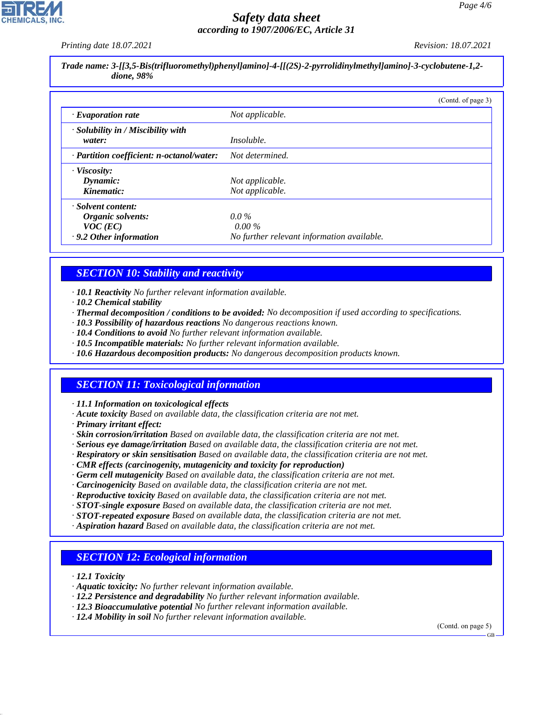*Printing date 18.07.2021 Revision: 18.07.2021*

*Trade name: 3-[[3,5-Bis(trifluoromethyl)phenyl]amino]-4-[[(2S)-2-pyrrolidinylmethyl]amino]-3-cyclobutene-1,2 dione, 98%*

|                                                    | (Contd. of page 3)                         |
|----------------------------------------------------|--------------------------------------------|
| $\cdot$ Evaporation rate                           | Not applicable.                            |
| $\cdot$ Solubility in / Miscibility with<br>water: | <i>Insoluble.</i>                          |
| · Partition coefficient: n-octanol/water:          | Not determined.                            |
| · Viscosity:                                       |                                            |
| Dynamic:                                           | Not applicable.                            |
| Kinematic:                                         | Not applicable.                            |
| · Solvent content:                                 |                                            |
| Organic solvents:                                  | $0.0\%$                                    |
| $VOC$ (EC)                                         | $0.00\%$                                   |
| .9.2 Other information                             | No further relevant information available. |

# *SECTION 10: Stability and reactivity*

*· 10.1 Reactivity No further relevant information available.*

- *· 10.2 Chemical stability*
- *· Thermal decomposition / conditions to be avoided: No decomposition if used according to specifications.*
- *· 10.3 Possibility of hazardous reactions No dangerous reactions known.*
- *· 10.4 Conditions to avoid No further relevant information available.*
- *· 10.5 Incompatible materials: No further relevant information available.*
- *· 10.6 Hazardous decomposition products: No dangerous decomposition products known.*

# *SECTION 11: Toxicological information*

*· 11.1 Information on toxicological effects*

- *· Acute toxicity Based on available data, the classification criteria are not met.*
- *· Primary irritant effect:*
- *· Skin corrosion/irritation Based on available data, the classification criteria are not met.*
- *· Serious eye damage/irritation Based on available data, the classification criteria are not met.*
- *· Respiratory or skin sensitisation Based on available data, the classification criteria are not met.*
- *· CMR effects (carcinogenity, mutagenicity and toxicity for reproduction)*
- *· Germ cell mutagenicity Based on available data, the classification criteria are not met.*
- *· Carcinogenicity Based on available data, the classification criteria are not met.*
- *· Reproductive toxicity Based on available data, the classification criteria are not met.*
- *· STOT-single exposure Based on available data, the classification criteria are not met.*
- *· STOT-repeated exposure Based on available data, the classification criteria are not met.*
- *· Aspiration hazard Based on available data, the classification criteria are not met.*

#### *SECTION 12: Ecological information*

*· 12.1 Toxicity*

44.1.1

- *· Aquatic toxicity: No further relevant information available.*
- *· 12.2 Persistence and degradability No further relevant information available.*
- *· 12.3 Bioaccumulative potential No further relevant information available.*
- *· 12.4 Mobility in soil No further relevant information available.*

(Contd. on page 5)

GB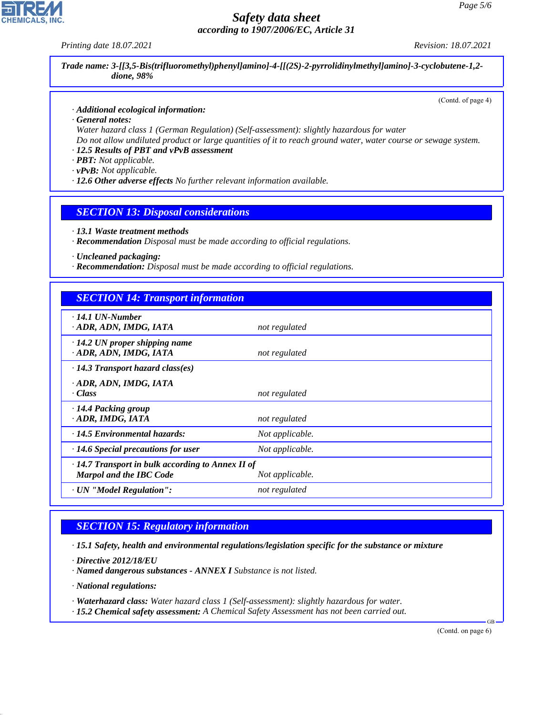*Printing date 18.07.2021 Revision: 18.07.2021*

*Trade name: 3-[[3,5-Bis(trifluoromethyl)phenyl]amino]-4-[[(2S)-2-pyrrolidinylmethyl]amino]-3-cyclobutene-1,2 dione, 98%*

(Contd. of page 4)

*· Additional ecological information:*

*· General notes:*

*Water hazard class 1 (German Regulation) (Self-assessment): slightly hazardous for water Do not allow undiluted product or large quantities of it to reach ground water, water course or sewage system.*

*· 12.5 Results of PBT and vPvB assessment*

*· PBT: Not applicable.*

*· vPvB: Not applicable.*

*· 12.6 Other adverse effects No further relevant information available.*

*SECTION 13: Disposal considerations*

*· 13.1 Waste treatment methods*

*· Recommendation Disposal must be made according to official regulations.*

*· Uncleaned packaging:*

*· Recommendation: Disposal must be made according to official regulations.*

| <b>SECTION 14: Transport information</b>                                                  |                 |  |
|-------------------------------------------------------------------------------------------|-----------------|--|
| $\cdot$ 14.1 UN-Number<br>· ADR, ADN, IMDG, IATA                                          | not regulated   |  |
| $\cdot$ 14.2 UN proper shipping name<br>· ADR, ADN, IMDG, IATA                            | not regulated   |  |
| $\cdot$ 14.3 Transport hazard class(es)                                                   |                 |  |
| · ADR, ADN, IMDG, IATA<br>· Class                                                         | not regulated   |  |
| · 14.4 Packing group<br>· ADR, IMDG, IATA                                                 | not regulated   |  |
| $\cdot$ 14.5 Environmental hazards:                                                       | Not applicable. |  |
| $\cdot$ 14.6 Special precautions for user                                                 | Not applicable. |  |
| $\cdot$ 14.7 Transport in bulk according to Annex II of<br><b>Marpol and the IBC Code</b> | Not applicable. |  |
| · UN "Model Regulation":                                                                  | not regulated   |  |

# *SECTION 15: Regulatory information*

*· 15.1 Safety, health and environmental regulations/legislation specific for the substance or mixture*

*· Directive 2012/18/EU*

*· Named dangerous substances - ANNEX I Substance is not listed.*

*· National regulations:*

44.1.1

*· Waterhazard class: Water hazard class 1 (Self-assessment): slightly hazardous for water.*

*· 15.2 Chemical safety assessment: A Chemical Safety Assessment has not been carried out.*

(Contd. on page 6)

GB